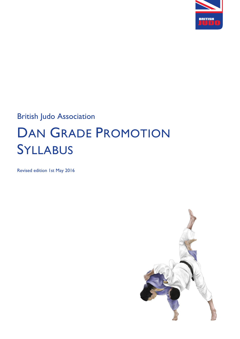

## British Judo Association

# DAN GRADE PROMOTION SYLLABUS

Revised edition 1st May 2016

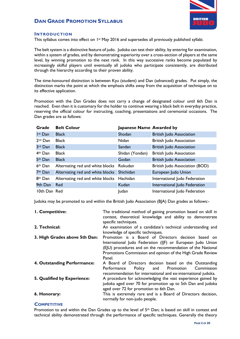

### **INTRODUCTION**

This syllabus comes into effect on 1st May 2016 and supersedes all previously published syllabi.

The belt system is a distinctive feature of judo. Judoka can test their ability, by entering for examination, within a system of grades, and by demonstrating superiority over a cross-section of players at the same level, by winning promotion to the next rank. In this way successive ranks become populated by increasingly skilful players until eventually all judoka who participate consistently, are distributed through the hierarchy according to their proven ability.

The time-honoured distinction is between Kyu (student) and Dan (advanced) grades. Put simply, the distinction marks the point at which the emphasis shifts away from the acquisition of technique on to its effective application.

Promotion with the Dan Grades does not carry a change of designated colour until 6th Dan is reached. Even then it is customary for the holder to continue wearing a black belt in everyday practice, reserving the official colour for instructing, coaching, presentations and ceremonial occasions. The Dan grades are as follows:

| Grade               | <b>Belt Colour</b>                        | Japanese Name Awarded by |                                 |
|---------------------|-------------------------------------------|--------------------------|---------------------------------|
| I <sup>st</sup> Dan | <b>Black</b>                              | Shodan                   | <b>British Judo Association</b> |
| $2nd$ Dan           | <b>Black</b>                              | Nidan                    | <b>British Judo Association</b> |
| 3rd Dan             | <b>Black</b>                              | Sandan                   | <b>British Judo Association</b> |
| $4th$ Dan           | <b>Black</b>                              | Shidan (Yondan)          | <b>British Judo Association</b> |
| 5th Dan             | <b>Black</b>                              | Godan                    | <b>British Judo Association</b> |
| 6 <sup>th</sup> Dan | Alternating red and white blocks Rokudan  |                          | British Judo Association (BOD)  |
| 7 <sup>th</sup> Dan | Alternating red and white blocks          | Shichidan                | European Judo Union             |
| 8 <sup>th</sup> Dan | Alternating red and white blocks Hachidan |                          | International Judo Federation   |
| 9th Dan             | Red                                       | Kudan                    | International Judo Federation   |
| 10th Dan Red        |                                           | <b>Judan</b>             | International Judo Federation   |

Judoka may be promoted to and within the British Judo Association (BJA) Dan grades as follows:-

| I. Competitive:               | The traditional method of gaining promotion based on skill in<br>contest, theoretical knowledge and ability to demonstrate<br>specific techniques.                                                                                                      |  |  |  |  |  |
|-------------------------------|---------------------------------------------------------------------------------------------------------------------------------------------------------------------------------------------------------------------------------------------------------|--|--|--|--|--|
| 2. Technical:                 | An examination of a candidate's technical understanding and<br>knowledge of specific techniques.                                                                                                                                                        |  |  |  |  |  |
| 3. High Grades above 5th Dan: | Promotion is a Board of Directors decision based on<br>International Judo Federation (IJF) or European Judo Union<br>(EJU) procedures and on the recommendation of the National<br>Promotions Commission and opinion of the High Grade Review<br>Panel. |  |  |  |  |  |
| 4. Outstanding Performance:   | A Board of Directors decision based on the Outstanding<br>Policy and Promotion<br>Commission<br>Performance<br>recommendation for international and ex-international judoka.                                                                            |  |  |  |  |  |
| 5. Qualified by Experience:   | A procedure for acknowledging the vast experience gained by<br>judoka aged over 70 for promotion up to 5th Dan and judoka<br>aged over 72 for promotion to 6th Dan.                                                                                     |  |  |  |  |  |
| 6. Honorary:                  | This is extremely rare and is a Board of Directors decision,<br>normally for non-judo people.                                                                                                                                                           |  |  |  |  |  |

### **COMPETITIVE**

Promotion to and within the Dan Grades up to the level of 5<sup>th</sup> Dan; is based on skill in contest and technical ability demonstrated through the performance of specific techniques. Generally the theory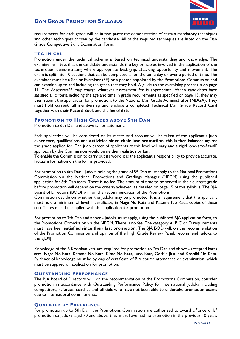

requirements for each grade will be in two parts: the demonstration of certain mandatory techniques and other techniques chosen by the candidate. All of the required techniques are listed on the Dan Grade Competitive Skills Examination Form.

### **TECHNICAL**

Promotion under the technical scheme is based on technical understanding and knowledge. The examiner will test that the candidate understands the key principles involved in the application of the techniques, demonstrating where appropriate best grip, attacking opportunity and movement. The exam is split into 10 sections that can be completed all on the same day or over a period of time. The examiner must be a Senior Examiner (SE) or a person appointed by the Promotions Commission and can examine up to and including the grade that they hold. A guide to the examining process is on page 11. The Assessor/SE may charge whatever assessment fee is appropriate. When candidates have satisfied all criteria including the age and time in grade requirements as specified on page 15, they may then submit the application for promotion, to the National Dan Grade Administrator (NDGA). They must hold current full membership and enclose a completed Technical Dan Grade Record Card together with their Record Book and the fee of £35.

### **PROMOTION TO HIGH GRADES ABOVE 5TH DAN**

Promotion to 6th Dan and above is not automatic.

Each application will be considered on its merits and account will be taken of the applicant's judo experience, qualifications and **activities since their last promotion**, this is then balanced against the grade applied for. The judo career of applicants at this level will vary and a rigid 'one-size-fits-all' approach by the Commission would be neither realistic nor fair.

To enable the Commission to carry out its work, it is the applicant's responsibility to provide accurate, factual information on the forms provided.

For promotion to 6th Dan - Judoka holding the grade of  $5<sup>th</sup>$  Dan must apply to the National Promotions Commission via the National Promotions and Gradings Manager (NPGM) using the published application for 6th Dan form. There is no fee. The amount of time to be served in their current grade before promotion will depend on the criteria achieved, as detailed on page 15 of this syllabus. The BJA Board of Directors (BOD) will, on the recommendation of the Promotions

Commission decide on whether the judoka may be promoted. It is a requirement that the applicant must hold a minimum of level 1 certificate, in Nage No Kata and Katame No Kata, copies of these certificates must be supplied with the application for promotion.

For promotion to 7th Dan and above - Judoka must apply, using the published BJA application form, to the Promotions Commission via the NPGM. There is no fee. The category A, B C or D requirements must have been **satisfied since their last promotion**. The BJA BOD will, on the recommendation of the Promotion Commission and opinion of the High Grade Review Panel, recommend judoka to the EJU/IJF.

Knowledge of the 6 Kodokan kata are required for promotion to 7th Dan and above - accepted katas are:- Nage No Kata, Katame No Kata, Kime No Kata, Juno Kata, Goshin jitsu and Koshiki No Kata. Evidence of knowledge must be by way of certificate of BJA course attendance or examination, which must be supplied on application for promotion.

### **OUTSTANDING PERFORMANCE**

The BJA Board of Directors will, on the recommendation of the Promotions Commission, consider promotion in accordance with Outstanding Performance Policy for International Judoka including competitors, referees, coaches and officials who have not been able to undertake promotion exams due to International commitments.

### **QUALIFIED BY EXPERIENCE**

For promotion up to 5th Dan, the Promotions Commission are authorised to award a "once only" promotion to judoka aged 70 and above, they must have had no promotion in the previous 10 years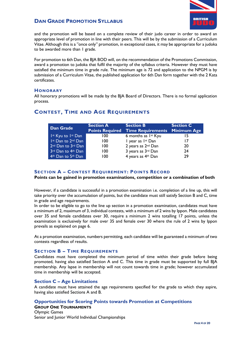

and the promotion will be based on a complete review of their judo career in order to award an appropriate level of promotion in line with their peers. This will be by the submission of a Curriculum Vitae. Although this is a "once only" promotion, in exceptional cases, it may be appropriate for a judoka to be awarded more than 1 grade.

For promotion to 6th Dan, the BJA BOD will, on the recommendation of the Promotions Commission, award a promotion to judoka that fulfil the majority of the syllabus criteria. However they must have satisfied the minimum time in grade rule. The minimum age is 72 and application to the NPGM is by submission of a Curriculum Vitae, the published application for 6th Dan form together with the 2 Kata certificates.

### **HONORARY**

All honorary promotions will be made by the BJA Board of Directors. There is no formal application process.

| <b>Dan Grade</b>                           | <b>Section A</b> | <b>Section B</b><br><b>Points Required Time Requirements</b> | <b>Section C</b><br><b>Minimum Age</b> |
|--------------------------------------------|------------------|--------------------------------------------------------------|----------------------------------------|
| 1st Kyu to 1st Dan                         | 100 <sub>1</sub> | 6 months as $I^{st}$ Kyu                                     | 15                                     |
| Ist Dan to 2nd Dan                         | 100              | I year as Ist Dan                                            | 17                                     |
| 2 <sup>nd</sup> Dan to 3rd Dan             | 100              | 2 years as 2 <sup>nd</sup> Dan                               | 20                                     |
| 3 <sup>rd</sup> Dan to 4 <sup>th</sup> Dan | 100              | 3 years as 3rd Dan                                           | 24                                     |
| 4 <sup>th</sup> Dan to 5 <sup>th</sup> Dan | 100              | 4 years as 4th Dan                                           | 29                                     |

### **CONTEST, TIME AND AGE REQUIREMENTS**

### **SECTION A – CONTEST REQUIREMENT: POINTS RECORD**

### **Points can be gained in promotion examinations, competition or a combination of both**

However, if a candidate is successful in a promotion examination i.e. completion of a line up, this will take priority over the accumulation of points, but the candidate must still satisfy Section B and C, time in grade and age requirements.

In order to be eligible to go to the line up section in a promotion examination, candidates must have a minimum of 2, maximum of 3, individual contests, with a minimum of 2 wins by Ippon. Male candidates over 35 and female candidates over 30, require a minimum 2 wins totalling 17 points, unless the examination is exclusively for male over 35 and female over 30 where the rule of 2 wins by Ippon prevails as explained on page 6.

At a promotion examination, numbers permitting, each candidate will be guaranteed a minimum of two contests regardless of results.

### **SECTION B – TIME REQUIREMENTS**

Candidates must have completed the minimum period of time within their grade before being promoted, having also satisfied Section A and C. This time in grade must be supported by full BJA membership. Any lapse in membership will not count towards time in grade; however accumulated time in membership will be accepted.

### **Section C – Age Limitations**

A candidate must have attained the age requirements specified for the grade to which they aspire, having also satisfied Sections A and B.

### **Opportunities for Scoring Points towards Promotion at Competitions**

### **GROUP ONE TOURNAMENTS**

Olympic Games Senior and Junior World Individual Championships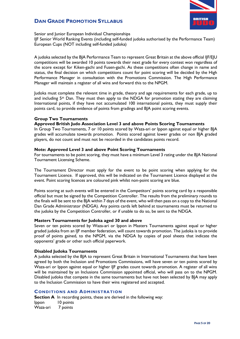

Senior and Junior European Individual Championships

IJF Senior World Ranking Events (including self-funded judoka authorised by the Performance Team) European Cups (NOT including self-funded judoka)

A judoka selected by the BJA Performance Team to represent Great Britain at the above official IJF/EJU competitions will be awarded 10 points towards their next grade for every contest won regardless of the score except for Kiken-gachi and Fusen-gachi. As these competitions often change in name and status, the final decision on which competitions count for point scoring will be decided by the High Performance Manager in consultation with the Promotions Commission. The High Performance Manager will maintain a register of all wins and forward this to the NPGM.

Judoka must complete the relevant time in grade, theory and age requirements for each grade, up to and including  $5<sup>th</sup>$  Dan. They must then apply to the NDGA for promotion stating they are claiming International points, if they have not accumulated 100 international points, they must supply their points card, to provide evidence of points from gradings and BJA point scoring events.

### **Group Two Tournaments**

### **Approved British Judo Association Level 3 and above Points Scoring Tournaments**

In Group Two Tournaments, 7 or 10 points scored by Waza-ari or Ippon against equal or higher BJA grades will accumulate towards promotion. Points scored against lower grades or non BJA graded players, do not count and must not be recorded in the candidates points record.

### **Note: Approved Level 3 and above Point Scoring Tournaments**

For tournaments to be point scoring, they must have a minimum Level 3 rating under the BJA National Tournament Licensing Scheme.

The Tournament Director must apply for the event to be point scoring when applying for the Tournament Licence. If approved, this will be indicated on the Tournament Licence displayed at the event. Point scoring licences are coloured pink whilst non-point scoring are blue.

Points scoring at such events will be entered in the Competitors' points scoring card by a responsible official but must be signed by the Competition Controller. The results from the preliminary rounds to the finals will be sent to the BJA within 7 days of the event, who will then pass on a copy to the National Dan Grade Administrator (NDGA). Any points cards left behind at tournaments must be returned to the judoka by the Competition Controller, or if unable to do so, be sent to the NDGA.

### **Masters Tournaments for Judoka aged 30 and above**

Seven or ten points scored by Waza-ari or Ippon in Masters Tournaments against equal or higher graded judoka from an IJF member federation, will count towards promotion. The judoka is to provide proof of points gained, to the NPGM, via the NDGA by copies of pool sheets that indicate the opponents' grade or other such official paperwork.

### **Disabled Judoka Tournaments**

A judoka selected by the BJA to represent Great Britain in International Tournaments that have been agreed by both the Inclusion and Promotions Commissions, will have seven or ten points scored by Waza-ari or Ippon against equal or higher IJF grades count towards promotion. A register of all wins will be maintained by an Inclusions Commission appointed official, who will pass on to the NPGM. Disabled judoka that compete in the same tournaments but have not been selected by BJA may apply to the Inclusion Commission to have their wins registered and accepted.

### **CONDITIONS AND ADMINISTRATION**

**Section A** In recording points, these are derived in the following way: Ippon 10 points Waza-ari 7 points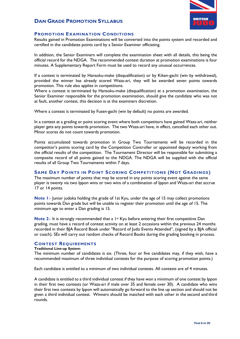

### **PROMOTION EXAMINATION CONDITIONS**

Results gained in Promotion Examinations will be converted into the points system and recorded and certified in the candidates points card by a Senior Examiner officiating.

In addition, the Senior Examiners will complete the examination sheet with all details, this being the official record for the NDGA. The recommended contest duration at promotion examinations is four minutes. A Supplementary Report Form must be used to record any unusual occurrences.

If a contest is terminated by Hansoku-make (disqualification) or by Kiken-gachi (win by withdrawal), provided the winner has already scored Waza-ari, they will be awarded seven points towards promotion. This rule also applies in competitions.

Where a contest is terminated by Hansoku-make (disqualification) at a promotion examination, the Senior Examiner responsible for the promotion examination, should give the candidate who was not at fault, another contest, this decision is at the examiners discretion.

Where a contest is terminated by Fusen-gachi (win by default) no points are awarded.

In a contest at a grading or point scoring event where both competitors have gained Waza-ari, neither player gets any points towards promotion. The two Waza-ari have, in effect, cancelled each other out. Minor scores do not count towards promotion.

Points accumulated towards promotion in Group Two Tournaments will be recorded in the competitor's points scoring card by the Competition Controller or appointed deputy working from the official results of the competition. The Tournament Director will be responsible for submitting a composite record of all points gained to the NDGA. The NDGA will be supplied with the official results of all Group Two Tournaments within 7 days.

### **SAME DAY POINTS IN POINT SCORING COMPETITIONS (NOT GRADINGS)**

The maximum number of points that may be scored in any points scoring event against the same player is twenty via two Ippon wins or two wins of a combination of Ippon and Waza-ari that accrue 17 or 14 points.

**Note 1**:- Junior judoka holding the grade of 1st Kyu, under the age of 15 may collect promotions points towards Dan grade but will be unable to register their promotion until the age of 15. The minimum age to enter a Dan grading is 15.

**Note 2:- It is strongly recommended that a 1<sup>st</sup> Kyu before entering their first competitive Dan** grading, must have a record of contest activity on at least 2 occasions within the previous 24 months recorded in their BJA Record Book under "Record of Judo Events Attended", (signed by a BJA official or coach). SEs will carry out random checks of Record Books during the grading booking in process.

### **CONTEST REQUIREMENTS**

#### **Traditional Line-up System**

The minimum number of candidates is six. (Three, four or five candidates may, if they wish, have a recommended maximum of three individual contests for the purpose of scoring promotion points.)

Each candidate is entitled to a minimum of two individual contests. All contests are of 4 minutes.

A candidate is entitled to a third individual contest if they have won a minimum of one contest by Ippon in their first two contests (or Waza-ari if male over 35 and female over 30). A candidate who wins their first two contests by Ippon will automatically go forward to the line up section and should not be given a third individual contest. Winners should be matched with each other in the second and third rounds.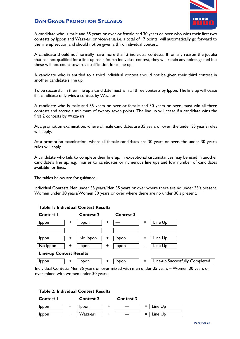

A candidate who is male and 35 years or over or female and 30 years or over who wins their first two contests by Ippon and Waza-ari or vice/versa i.e. a total of 17 points, will automatically go forward to the line up section and should not be given a third individual contest.

A candidate should not normally have more than 3 individual contests. If for any reason the judoka that has not qualified for a line-up has a fourth individual contest, they will retain any points gained but these will not count towards qualification for a line up.

A candidate who is entitled to a third individual contest should not be given their third contest in another candidate's line up.

To be successful in their line up a candidate must win all three contests by Ippon. The line up will cease if a candidate only wins a contest by Waza-ari

A candidate who is male and 35 years or over or female and 30 years or over, must win all three contests and accrue a minimum of twenty seven points. The line up will cease if a candidate wins the first 2 contests by Waza-ari

At a promotion examination, where all male candidates are 35 years or over, the under 35 year's rules will apply.

At a promotion examination, where all female candidates are 30 years or over, the under 30 year's rules will apply.

A candidate who fails to complete their line up, in exceptional circumstances may be used in another candidate's line up, e.g. injuries to candidates or numerous line ups and low number of candidates available for lines.

The tables below are for guidance:

Individual Contests Men under 35 years/Men 35 years or over where there are no under 35's present. Women under 30 years/Women 30 years or over where there are no under 30's present.



### **Table 1: Individual Contest Results**

Individual Contests Men 35 years or over mixed with men under 35 years – Women 30 years or over mixed with women under 30 years.

### **Table 2: Individual Contest Results**

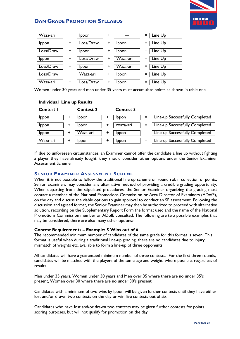

| Waza-ari  | ÷         | Ippon        | ٠ |              |     | Line Up |
|-----------|-----------|--------------|---|--------------|-----|---------|
| Ippon     | ÷         | Loss/Draw    | + | Ippon        | $=$ | Line Up |
| Loss/Draw | ÷         | <b>Ippon</b> | + | <b>Ippon</b> |     | Line Up |
| Ippon     | $\ddot{}$ | Loss/Draw    | + | Waza-ari     |     | Line Up |
| Loss/Draw | $\ddot{}$ | <b>Ippon</b> | + | Waza-ari     | =   | Line Up |
| Loss/Draw | ÷         | Waza-ari     | + | Ippon        | =   | Line Up |
| Waza-ari  | ÷         | Loss/Draw    | + | Ippon        | =   | Line Up |

Women under 30 years and men under 35 years must accumulate points as shown in table one.

### **Individual Line up Results**

| <b>Contest I</b> | <b>Contest 2</b> |   | <b>Contest 3</b> |          |                                |
|------------------|------------------|---|------------------|----------|--------------------------------|
| Ippon            | Ippon            | ٠ | Ippon            | $\equiv$ | Line-up Successfully Completed |
| Ippon            | <b>Ippon</b>     |   | Waza-ari         | $\equiv$ | Line-up Successfully Completed |
| Ippon            | Waza-ari         | + | Ippon            | $=$      | Line-up Successfully Completed |
| Waza-ari         | Ippon            | + | Ippon            | $\equiv$ | Line-up Successfully Completed |

If, due to unforeseen circumstances, an Examiner cannot offer the candidate a line up without fighting a player they have already fought, they should consider other options under the Senior Examiner Assessment Scheme.

### **SENIOR EXAMINER ASSESSMENT SCHEME**

When it is not possible to follow the traditional line up scheme or round robin collection of points, Senior Examiners may consider any alternative method of providing a credible grading opportunity. When departing from the stipulated procedures, the Senior Examiner organizing the grading must contact a member of the National Promotions Commission or Area Director of Examiners (ADofE), on the day and discuss the viable options to gain approval to conduct an SE assessment. Following the discussion and agreed format, the Senior Examiner may then be authorized to proceed with alternative solution, recording on the Supplementary Report Form the format used and the name of the National Promotions Commission member or ADofE consulted. The following are two possible examples that may be considered, there are also many other options:-

### **Contest Requirements – Example: 5 Wins out of 6**

The recommended minimum number of candidates of the same grade for this format is seven. This format is useful when during a traditional line-up grading, there are no candidates due to injury, mismatch of weights etc. available to form a line-up of three opponents.

All candidates will have a guaranteed minimum number of three contests. For the first three rounds, candidates will be matched with the players of the same age and weight, where possible, regardless of results.

Men under 35 years, Women under 30 years and Men over 35 where there are no under 35's present, Women over 30 where there are no under 30's present

Candidates with a minimum of two wins by Ippon will be given further contests until they have either lost and/or drawn two contests on the day or win five contests out of six.

Candidates who have lost and/or drawn two contests may be given further contests for points scoring purposes, but will not qualify for promotion on the day.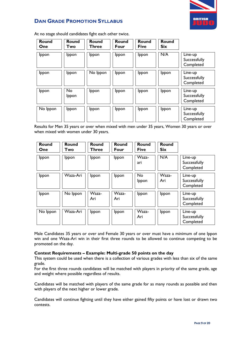

| <b>Round</b><br>One | <b>Round</b><br>Two | <b>Round</b><br>Three | <b>Round</b><br>Four | Round<br><b>Five</b> | Round<br><b>Six</b> |                                      |
|---------------------|---------------------|-----------------------|----------------------|----------------------|---------------------|--------------------------------------|
| Ippon               | <b>Ippon</b>        | Ippon                 | Ippon                | Ippon                | N/A                 | Line-up<br>Successfully<br>Completed |
| Ippon               | <b>Ippon</b>        | No Ippon              | Ippon                | Ippon                | Ippon               | Line-up<br>Successfully<br>Completed |
| Ippon               | No<br>Ippon         | Ippon                 | Ippon                | Ippon                | Ippon               | Line-up<br>Successfully<br>Completed |
| No Ippon            | <b>Ippon</b>        | Ippon                 | Ippon                | Ippon                | Ippon               | Line-up<br>Successfully<br>Completed |

At no stage should candidates fight each other twice.

Results for Men 35 years or over when mixed with men under 35 years, Women 30 years or over when mixed with women under 30 years.

| <b>Round</b><br>One | <b>Round</b><br>Two | Round<br>Three | <b>Round</b><br>Four | <b>Round</b><br><b>Five</b> | <b>Round</b><br><b>Six</b> |                                      |
|---------------------|---------------------|----------------|----------------------|-----------------------------|----------------------------|--------------------------------------|
| Ippon               | Ippon               | Ippon          | Ippon                | Waza-<br>ari                | N/A                        | Line-up<br>Successfully<br>Completed |
| Ippon               | Waza-Ari            | Ippon          | Ippon                | <b>No</b><br>Ippon          | Waza-<br>Ari               | Line-up<br>Successfully<br>Completed |
| Ippon               | No Ippon            | Waza-<br>Ari   | Waza-<br>Ari         | Ippon                       | Ippon                      | Line-up<br>Successfully<br>Completed |
| No Ippon            | Waza-Ari            | Ippon          | Ippon                | Waza-<br>Ari                | Ippon                      | Line-up<br>Successfully<br>Completed |

Male Candidates 35 years or over and Female 30 years or over must have a minimum of one Ippon win and one Waza-Ari win in their first three rounds to be allowed to continue competing to be promoted on the day.

### **Contest Requirements – Example: Multi-grade 50 points on the day**

This system could be used when there is a collection of various grades with less than six of the same grade.

For the first three rounds candidates will be matched with players in priority of the same grade, age and weight where possible regardless of results.

Candidates will be matched with players of the same grade for as many rounds as possible and then with players of the next higher or lower grade.

Candidates will continue fighting until they have either gained fifty points or have lost or drawn two contests.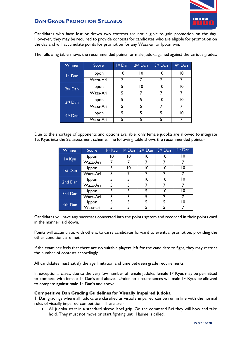

Candidates who have lost or drawn two contests are not eligible to gain promotion on the day. However, they may be required to provide contests for candidates who are eligible for promotion on the day and will accumulate points for promotion for any Waza-ari or Ippon win.

| Winner              | Score    | Ist Dan | 2 <sup>nd</sup> Dan | 3rd Dan | 4th Dan |
|---------------------|----------|---------|---------------------|---------|---------|
| Ist Dan             | Ippon    | 10      | 10                  | 10      | 10      |
|                     | Waza-Ari |         |                     |         |         |
| 2 <sup>nd</sup> Dan | Ippon    | 5       | 10                  | 10      | 10      |
|                     | Waza-Ari | 5       |                     |         |         |
| 3rd Dan             | Ippon    | 5       | 5                   | 10      | 10      |
|                     | Waza-Ari | 5       | 5                   |         |         |
| 4 <sup>th</sup> Dan | Ippon    | 5       | 5                   | 5       | 10      |
|                     | Waza-Ari | 5       | 5                   | 5       |         |

The following table shows the recommended points for male judoka gained against the various grades:

Due to the shortage of opponents and options available, only female judoka are allowed to integrate 1st Kyus into the SE assessment scheme. The following table shows the recommended points:-

| Winner  | Score    | Ist Kyu | I <sup>st</sup> Dan | 2 <sup>nd</sup> Dan | 3rd Dan | 4 <sup>th</sup> Dan |
|---------|----------|---------|---------------------|---------------------|---------|---------------------|
| Ist Kyu | Ippon    | 10      | 10                  | 10                  | 10      | 10                  |
|         | Waza-Ari |         |                     |                     |         |                     |
| Ist Dan | Ippon    | 5       | 10                  | 10                  | 10      | 10                  |
|         | Waza-Ari | 5       |                     |                     |         |                     |
| 2nd Dan | Ippon    | 5       | 5                   | 10                  | 10      | 10                  |
|         | Waza-Ari | 5       | 5                   |                     |         |                     |
| 3rd Dan | Ippon    | 5       | 5                   | 5                   | 10      | 10                  |
|         | Waza-Ari | 5       | 5                   | 5                   |         |                     |
| 4th Dan | Ippon    | 5       | 5                   | 5                   | 5       | 10                  |
|         | Waza-ari |         |                     |                     |         |                     |

Candidates will have any successes converted into the points system and recorded in their points card in the manner laid down.

Points will accumulate, with others, to carry candidates forward to eventual promotion, providing the other conditions are met.

If the examiner feels that there are no suitable players left for the candidate to fight, they may restrict the number of contests accordingly.

All candidates must satisfy the age limitation and time between grade requirements.

In exceptional cases, due to the very low number of female judoka, female 1<sup>st</sup> Kyus may be permitted to compete with female 1<sup>st</sup> Dan's and above. Under no circumstances will male 1st Kyus be allowed to compete against male 1<sup>st</sup> Dan's and above.

### **Competitive Dan Grading Guidelines for Visually Impaired Judoka**

1. Dan gradings where all judoka are classified as visually impaired can be run in line with the normal rules of visually impaired competition. These are:-

• All judoka start in a standard sleeve lapel grip. On the command Rei they will bow and take hold. They must not move or start fighting until Hajime is called.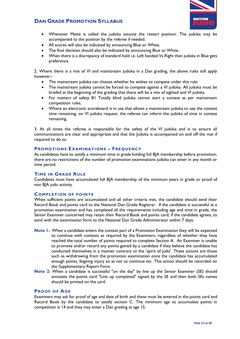

- Whenever Matte is called the judoka assume the restart position. The judoka may be accompanied to the position by the referee if needed.
- All scores will also be indicated by announcing Blue or White.
- The final decision should also be indicated by announcing Blue or White.
- When there is a discrepancy of standard hold i.e. Left handed Vs Right then judoka in Blue gets preference.

2. Where there is a mix of VI and mainstream judoka in a Dan grading, the above rules still apply however:-

- The mainstream judoka can choose whether he wishes to compete under this rule.
- The mainstream judoka cannot be forced to compete against a VI judoka. All judoka must be briefed at the beginning of the grading that there will be a mix of sighted and VI judoka.
- For matters of safety B1 Totally blind judoka cannot start a contest as per mainstream competition rules.
- Where an electronic scoreboard is in use that allows a mainstream judoka to see the contest time remaining, on VI judoka request, the referee can inform the judoka of time in contest remaining.

3. At all times the referee is responsible for the safety of the VI judoka and is to ensure all communications are clear and appropriate and that the Judoka is accompanied on and off the mat if required to do so.

### **PROMOTIONS EXAMINATIONS – FREQUENCY**

As candidates have to satisfy a minimum time in grade holding full BJA membership before promotion, there are no restrictions of the number of promotion examinations judoka can enter in any month or time period.

### **TIME IN GRADE RULE**

Candidates must have accumulated full BJA membership of the minimum years in grade or proof of non BJA judo activity.

### **COMPLETION OF POINTS**

When sufficient points are accumulated and all other criteria met, the candidate should send their Record Book and points card to the National Dan Grade Registrar. If the candidate is successful at a promotion examination and has completed all the requirements including age and time in grade, the Senior Examiner concerned may retain their Record Book and points card, if the candidate agrees, to send with the examination form to the National Dan Grade Administrator within 7 days.

- **Note 1:** When a candidate enters the contest part of a Promotion Examination they will be expected to continue with contests as required by the Examiners, regardless of whether they have reached the total number of points required to complete Section A. An Examiner is unable to promote and/or record any points gained by a candidate if they believe the candidate has conducted themselves in a manner contrary to the 'spirit of judo'. These actions are those such as withdrawing from the promotion examination once the candidate has accumulated enough points, feigning injury so as not to continue etc. This action should be recorded on the Supplementary Report Form.
- **Note 2:** When a candidate is successful "on the day" by line up the Senior Examiner (SE) should annotate the points card "Line up completed" signed by the SE and then both SEs names should be printed on the card.

### **PROOF OF AGE**

Examiners may ask for proof of age and date of birth and these must be entered in the points card and Record Book by the candidate to satisfy section C. The minimum age to accumulate points in competition is 14 and they may enter a Dan grading at age 15.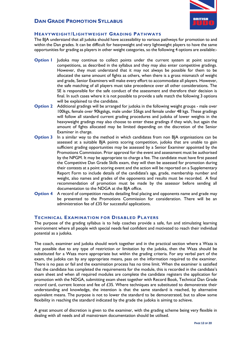

### **HEAVYWEIGHT/LIGHTWEIGHT GRADING PATHWAYS**

The BJA understand that all judoka should have accessibility to various pathways for promotion to and within the Dan grades. It can be difficult for heavyweight and very lightweight players to have the same opportunities for grading as players in other weight categories, so the following 4 options are available:-

- **Option I** Judoka may continue to collect points under the current system at point scoring competitions, as described in the syllabus and they may also enter competitive gradings. However, they must understand that it may not always be possible for them to be allocated the same amount of fights as others, when there is a gross mismatch of weight and grade, Senior Examiners will make every effort to accommodate all players. However, the safe matching of all players must take precedence over all other considerations. The SE is responsible for the safe conduct of the assessment and therefore their decision is final. In such cases where it is not possible to provide a safe match the following 3 options will be explained to the candidate.
- **Option 2** Additional gradings will be arranged for judoka in the following weight groups male over 100kgs, female over 90kgskgs, male under 55kgs and female under 48 kgs. These gradings will follow all standard current grading procedures and judoka of lower weights in the heavyweight gradings may also choose to enter these gradings if they wish, but again the amount of fights allocated may be limited depending on the discretion of the Senior Examiner in charge.
- **Option 3** In a similar way to the method in which candidates from non BJA organisations can be assessed at a suitable BJA points scoring competition, judoka that are unable to gain sufficient grading opportunities may be assessed by a Senior Examiner appointed by the Promotions Commission. Prior approval for the event and assessment must be authorised by the NPGM. It may be appropriate to charge a fee. The candidate must have first passed the Competitive Dan Grade Skills exam, they will then be assessed for promotion during their contests at a point scoring event and the action will be reported on a Supplementary Report Form to include details of the candidate's age, grade, membership number and weight, also names and grades of the opponents and results must be recorded. A final recommendation of promotion must be made by the assessor before sending all documentation to the NDGA at the BJA office.
- **Option 4** A record of competition results detailing final placing and opponents name and grade may be presented to the Promotions Commission for consideration. There will be an administration fee of £35 for successful applications.

### **TECHNICAL EXAMINATION FOR DISABLED PLAYERS**

The purpose of the grading syllabus is to help coaches provide a safe, fun and stimulating learning environment where all people with special needs feel confident and motivated to reach their individual potential as a judoka.

The coach, examiner and judoka should work together and in the practical section where a Waza is not possible due to any type of restriction or limitation by the judoka, then the Waza should be substituted for a Waza more appropriate but within the grading criteria. For any verbal part of the exam, the judoka can by any appropriate means, pass on the information required to the examiner. There is no pass or fail and the examination process has no time limit. When the examiner is satisfied that the candidate has completed the requirements for the module, this is recorded in the candidate's exam sheet and when all required modules are complete the candidate registers the application for promotion with the NDGA, submitting exam sheet together with Record Book, Technical Dan Grade record card, current licence and fee of £35. Where techniques are substituted to demonstrate their understanding and knowledge, the intention is that the same standard is reached, by alternative equivalent means. The purpose is not to lower the standard to be demonstrated, but to allow some flexibility in reaching the standard indicated by the grade the judoka is aiming to achieve.

A great amount of discretion is given to the examiner, with the grading scheme being very flexible in dealing with all needs and all mainstream documentation should be utilised.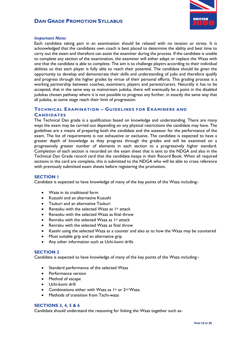



### *Important Note:*

Each candidate taking part in an examination should be relaxed with no tension or stress. It is acknowledged that the candidates own coach is best placed to determine the ability and best time to carry out the exam and therefore can assist the examiner during the process. If the candidate is unable to complete any section of the examination, the examiner will either adapt or replace the Waza with one that the candidate is able to complete. The aim is to challenge players according to their individual abilities so that each player is fully able to reach their potential. The candidate should be given the opportunity to develop and demonstrate their skills and understanding of judo and therefore qualify and progress through the higher grades by virtue of their personal efforts. This grading process is a working partnership between coaches, examiners, players and parents/carers. Naturally it has to be accepted, that in the same way as mainstream judoka, there will eventually be a point in the disabled judokas chosen pathway where it is not possible to progress any further, in exactly the same way that all judoka, at some stage reach their limit of progression.

### **TECHNICAL EXAMINATION – GUIDELINES FOR EXAMINERS AND CANDIDATES**

The Technical Dan grade is a qualification based on knowledge and understanding. There are many ways the exam may be carried out depending on any physical restrictions the candidate may have. The guidelines are a means of preparing both the candidate and the assessor for the performance of the exam. The list of requirements is not exhaustive or exclusive. The candidate is expected to have a greater depth of knowledge as they progress through the grades and will be examined on a progressively greater number of elements in each section to a progressively higher standard. Completion of each section is recorded on the exam sheet that is sent to the NDGA and also in the Technical Dan Grade record card that the candidate keeps in their Record Book. When all required sections in the card are complete, this is submitted to the NDGA who will be able to cross reference with previously submitted exam sheets before registering the promotion.

### **SECTION 1**

Candidate is expected to have knowledge of many of the key points of the Waza including:-

- Waza in its traditional form
- Kuzushi and an alternative Kuzushi
- Tsukuri and an alternative Tsukuri
- Renzoku with the selected Waza as  $1st$  attack
- Renzoku with the selected Waza as final throw
- Renraku with the selected Waza as  $1st$  attack
- Renraku with the selected Waza as final throw
- Kaeshi using the selected Waza as a counter and also as to how the Waza may be countered
- Most suitable grip and an alternative grip
- Any other information such as Uchi-komi drills

### **SECTION 2**

Candidate is expected to have knowledge of many of the key points of the Waza including:-

- Standard performance of the selected Waza
- Performance version
- Method of escape
- Uchi-komi drill
- Combinations either with Waza as  $1^{st}$  or  $2^{nd}$  Waza.
- Methods of transition from Tachi-waza

#### **SECTIONS 3, 4, 5 & 6**

Candidate should understand the reasoning for linking the Waza together such as-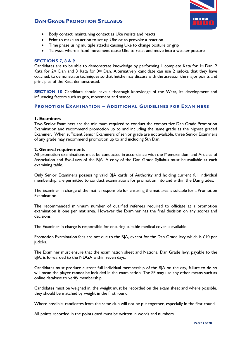

- Body contact, maintaining contact as Uke resists and reacts
- Feint to make an action to set up Uke or to provoke a reaction
- Time phase using multiple attacks causing Uke to change posture or grip
- Te waza where a hand movement cause Uke to react and move into a weaker posture

### **SECTIONS 7, 8 & 9**

Candidates are to be able to demonstrate knowledge by performing I complete Kata for  $1st$  Dan, 2 Kata for  $2^{nd}$  Dan and 3 Kata for  $3^{rd}$  Dan. Alternatively candidate can use 2 judoka that they have coached, to demonstrate techniques so that he/she may discuss with the assessor the major points and principles of the Kata demonstrated.

**SECTION 10** Candidate should have a thorough knowledge of the Waza, its development and influencing factors such as grip, movement and stance.

### **PROMOTION EXAMINATION – ADDITIONAL GUIDELINES FOR EXAMINERS**

#### **1. Examiners**

Two Senior Examiners are the minimum required to conduct the competitive Dan Grade Promotion Examination and recommend promotion up to and including the same grade as the highest graded Examiner. When sufficient Senior Examiners of senior grade are not available, three Senior Examiners of any grade may recommend promotion up to and including 5th Dan.

### **2. General requirements**

All promotion examinations must be conducted in accordance with the Memorandum and Articles of Association and Bye-Laws of the BJA. A copy of the Dan Grade Syllabus must be available at each examining table.

Only Senior Examiners possessing valid BJA cards of Authority and holding current full individual membership, are permitted to conduct examinations for promotion into and within the Dan grades.

The Examiner in charge of the mat is responsible for ensuring the mat area is suitable for a Promotion Examination.

The recommended minimum number of qualified referees required to officiate at a promotion examination is one per mat area. However the Examiner has the final decision on any scores and decisions.

The Examiner in charge is responsible for ensuring suitable medical cover is available.

Promotion Examination fees are not due to the BJA, except for the Dan Grade levy which is  $£10$  per judoka.

The Examiner must ensure that the examination sheet and National Dan Grade levy, payable to the BJA, is forwarded to the NDGA within seven days.

Candidates must produce current full individual membership of the BJA on the day, failure to do so will mean the player cannot be included in the examination. The SE may use any other means such as online database to verify membership.

Candidates must be weighed in, the weight must be recorded on the exam sheet and where possible, they should be matched by weight in the first round.

Where possible, candidates from the same club will not be put together, especially in the first round.

All points recorded in the points card must be written in words and numbers.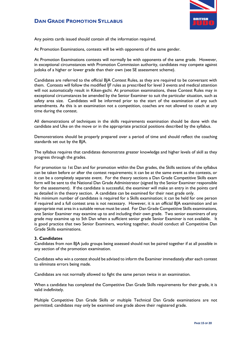

Any points cards issued should contain all the information required.

At Promotion Examinations, contests will be with opponents of the same gender.

At Promotion Examinations contests will normally be with opponents of the same grade. However, in exceptional circumstances with Promotion Commission authority, candidates may compete against judoka of a higher or lower grade than their own (see SE assessment scheme).

Candidates are referred to the official BJA Contest Rules, as they are required to be conversant with them. Contests will follow the modified IJF rules as prescribed for level 3 events and medical attention will not automatically result in Kiken-gachi. At promotion examinations, these Contest Rules may in exceptional circumstances be amended by the Senior Examiner to suit the particular situation, such as safety area size. Candidates will be informed prior to the start of the examination of any such amendments. As this is an examination not a competition, coaches are not allowed to coach at any time during the contest.

All demonstrations of techniques in the skills requirements examination should be done with the candidate and Uke on the move or in the appropriate practical positions described by the syllabus.

Demonstrations should be properly prepared over a period of time and should reflect the coaching standards set out by the BJA.

The syllabus requires that candidates demonstrate greater knowledge and higher levels of skill as they progress through the grades.

For promotion to 1st Dan and for promotion within the Dan grades, the Skills sections of the syllabus can be taken before or after the contest requirements; it can be at the same event as the contests, or it can be a completely separate event. For the theory sections a Dan Grade Competitive Skills exam form will be sent to the National Dan Grade Administrator (signed by the Senior Examiner responsible for the assessment). If the candidate is successful, the examiner will make an entry in the points card as detailed in the theory section. A candidate can be examined for their next grade only.

No minimum number of candidates is required for a Skills examination; it can be held for one person if required and a full contest area is not necessary. However, it is an official BJA examination and an appropriate mat area in a suitable venue must be used. For Dan Grade Competitive Skills examinations, one Senior Examiner may examine up to and including their own grade. Two senior examiners of any grade may examine up to 5th Dan when a sufficient senior grade Senior Examiner is not available. It is good practice that two Senior Examiners, working together, should conduct all Competitive Dan Grade Skills examinations.

### **3. Candidates**

Candidates from non BJA judo groups being assessed should not be paired together if at all possible in any section of the promotion examination.

Candidates who win a contest should be advised to inform the Examiner immediately after each contest to eliminate errors being made.

Candidates are not normally allowed to fight the same person twice in an examination.

When a candidate has completed the Competitive Dan Grade Skills requirements for their grade, it is valid indefinitely.

Multiple Competitive Dan Grade Skills or multiple Technical Dan Grade examinations are not permitted; candidates may only be examined one grade above their registered grade.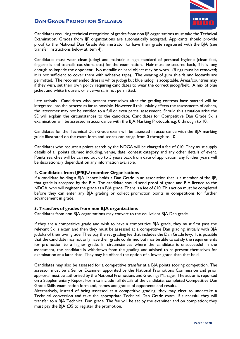

Candidates requiring technical recognition of grades from non IJF organizations must take the Technical Examination. Grades from IJF organizations are automatically accepted. Applicants should provide proof to the National Dan Grade Administrator to have their grade registered with the BJA (see transfer instructions below at item 4).

Candidates must wear clean judogi and maintain a high standard of personal hygiene (clean feet, fingernails and toenails cut short, etc.) for the examination. Hair must be secured back, if it is long enough to impede the opponent. No metallic or hard object may be worn. (Rings must be removed; it is not sufficient to cover them with adhesive tape). The wearing of gum shields and leotards are permitted. The recommended dress is white judogi but blue judogi is acceptable. Areas/countries may if they wish, set their own policy requiring candidates to wear the correct judogi/belt. A mix of blue jacket and white trousers or vice-versa is not permitted.

Late arrivals –Candidates who present themselves after the grading contests have started will be integrated into the process as far as possible. However if this unfairly affects the assessments of others, the latecomer may not be entitled to a full or even partial assessment. Should this situation arise the SE will explain the circumstances to the candidate. Candidates for Competitive Dan Grade Skills examination will be assessed in accordance with the BJA Marking Protocols e.g. 0 through to 10.

Candidates for the Technical Dan Grade exam will be assessed in accordance with the BJA marking guide illustrated on the exam form and scores can range from 0 through to 10.

Candidates who request a points search by the NDGA will be charged a fee of  $£10$ . They must supply details of all points claimed including, venue, date, contest category and any other details of event. Points searches will be carried out up to 5 years back from date of application, any further years will be discretionary dependant on any information available.

### **4. Candidates from IJF/EJU member Organisations**

If a candidate holding a BJA licence holds a Dan Grade in an association that is a member of the IJF, that grade is accepted by the BJA. The candidate should send proof of grade and BJA licence to the NDGA, who will register the grade as a BJA grade. There is a fee of  $\pounds$ 10. This action must be completed before they can enter any BJA grading or collect promotion points in competitions for further advancement in grade.

### **5. Transfers of grades from non BJA organizations**

Candidates from non BJA organizations may convert to the equivalent BJA Dan grade.

If they are a competitive grade and wish to have a competitive BJA grade, they must first pass the relevant Skills exam and then they must be assessed at a competitive Dan grading, initially with BJA judoka of their own grade. They pay the set grading fee that includes the Dan Grade levy. It is possible that the candidate may not only have their grade confirmed but may be able to satisfy the requirements for promotion to a higher grade. In circumstances where the candidate is unsuccessful in the assessment, the candidate is withdrawn from the grading and advised to re-present themselves for examination at a later date. They may be offered the option of a lower grade than that held.

Candidates may also be assessed for a competitive transfer at a BJA points scoring competition. The assessor must be a Senior Examiner appointed by the National Promotions Commission and prior approval must be authorised by the National Promotions and Gradings Manager. The action is reported on a Supplementary Report Form to include full details of the candidate, completed Competitive Dan Grade Skills examination form and, names and grades of opponents and results.

Alternatively, instead of being assessed at a competitive grading, they may elect to undertake a Technical conversion and take the appropriate Technical Dan Grade exam. If successful they will transfer to a BJA Technical Dan grade. The fee will be set by the examiner and on completion; they must pay the BJA £35 to register the promotion.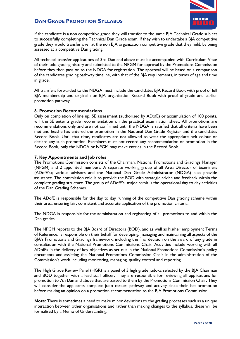

If the candidate is a non competitive grade they will transfer to the same BJA Technical Grade subject to successfully completing the Technical Dan Grade exam. If they wish to undertake a BJA competitive grade they would transfer over at the non BJA organization competitive grade that they held, by being assessed at a competitive Dan grading.

All technical transfer applications of 3rd Dan and above must be accompanied with Curriculum Vitae of their judo grading history and submitted to the NPGM for approval by the Promotions Commission before they then pass on to the NDGA for registration. The approval will be based on a comparison of the candidates grading pathway timeline, with that of the BJA requirements, in terms of age and time in grade.

All transfers forwarded to the NDGA must include the candidates BJA Record Book with proof of full BJA membership and original non BJA organisation Record Book with proof of grade and earlier promotion pathway.

### **6. Promotion Recommendations**

Only on completion of line up, SE assessment (authorised by ADofE) or accumulation of 100 points, will the SE enter a grade recommendation on the practical examination sheet. All promotions are recommendations only and are not confirmed until the NDGA is satisfied that all criteria have been met and he/she has entered the promotion in the National Dan Grade Register and the candidates Record Book. Until that time, candidates are not allowed to wear the appropriate belt colour or declare any such promotion. Examiners must not record any recommendation or promotion in the Record Book, only the NDGA or NPGM may make entries in the Record Book.

### **7. Key Appointments and Job roles**

The Promotions Commission consists of the Chairman, National Promotions and Gradings Manager (NPGM) and 2 appointed members. A separate working group of all Area Director of Examiners (ADofE's); various advisors and the National Dan Grade Administrator (NDGA) also provide assistance. The commission role is to provide the BOD with strategic advice and feedback within the complete grading structure. The group of ADofE's major remit is the operational day to day activities of the Dan Grading Schemes.

The ADofE is responsible for the day to day running of the competitive Dan grading scheme within their area, ensuring fair, consistent and accurate application of the promotion criteria.

The NDGA is responsible for the administration and registering of all promotions to and within the Dan grades.

The NPGM reports to the BJA Board of Directors (BOD), and as well as his/her employment Terms of Reference, is responsible on their behalf for developing, managing and maintaining all aspects of the BJA's Promotions and Gradings framework, including the final decision on the award of any grade in consultation with the National Promotions Commissions Chair. Activities include working with all ADofEs in the delivery of key objectives as set out in the National Promotions Commission's policy documents and assisting the National Promotions Commission Chair in the administration of the Commission's work including monitoring, managing, quality control and reporting.

The High Grade Review Panel (HGR) is a panel of 3 high grade judoka selected by the BJA Chairman and BOD together with a lead staff officer. They are responsible for reviewing all applications for promotion to 7th Dan and above that are passed to them by the Promotions Commission Chair. They will consider the applicants complete judo career, pathway and activity since their last promotion before making an opinion on a promotion recommendation to the BJA Promotions Commission.

**Note**: There is sometimes a need to make minor deviations to the grading processes such as a unique interaction between other organisations and rather than making changes to the syllabus, these will be formalised by a Memo of Understanding.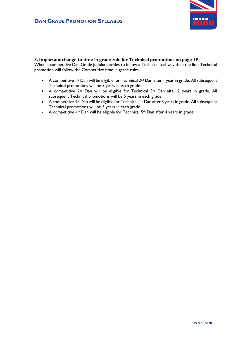

### **8. Important change to time in grade rule for Technical promotions on page 19**

When a competitive Dan Grade judoka decides to follow a Technical pathway then the first Technical promotion will follow the Competitive time in grade rule:-

- A competitive 1<sup>st</sup> Dan will be eligible for Technical 2<sup>nd</sup> Dan after 1 year in grade. All subsequent Technical promotions will be 5 years in each grade.
- A competitive 2<sup>nd</sup> Dan will be eligible for Technical 3<sup>rd</sup> Dan after 2 years in grade. All subsequent Technical promotions will be 5 years in each grade.
- A competitive 3<sup>rd</sup> Dan will be eligible for Technical 4<sup>th</sup> Dan after 3 years in grade. All subsequent Technical promotions will be 5 years in each grade.
- A competitive  $4<sup>th</sup>$  Dan will be eligible for Technical  $5<sup>th</sup>$  Dan after 4 years in grade.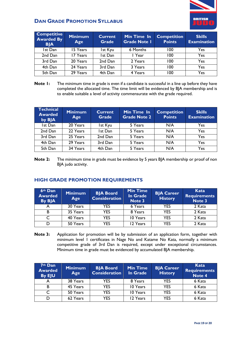

| <b>Competitive</b><br><b>Awarded By</b><br><b>BJA</b> | <b>Minimum</b><br>Age | <b>Current</b><br><b>Grade</b> | Min Time In<br><b>Grade Note I</b> | <b>Competition</b><br><b>Points</b> | <b>Skills</b><br><b>Examination</b> |
|-------------------------------------------------------|-----------------------|--------------------------------|------------------------------------|-------------------------------------|-------------------------------------|
| Ist Dan                                               | 15 Years              | Ist Kyu                        | 6 Months                           | 100                                 | Yes                                 |
| 2nd Dan                                               | 17 Years              | Ist Dan                        | I Year                             | 100                                 | Yes                                 |
| 3rd Dan                                               | 20 Years              | 2nd Dan                        | 2 Years                            | 100                                 | Yes                                 |
| 4th Dan                                               | 24 Years              | 3rd Dan                        | 3 Years                            | 100                                 | Yes                                 |
| 5th Dan                                               | 29 Years              | 4th Dan                        | 4 Years                            | 100                                 | Yes                                 |

**Note 1:** The minimum time in grade is even if a candidate is successful in a line up before they have completed the allocated time. The time limit will be evidenced by BJA membership and is to enable suitable a level of activity commensurate with the grade required.

| <b>Technical</b><br><b>Awarded</b><br>by BJA | <b>Minimum</b><br>Age | <b>Current</b><br><b>Grade</b> | Min Time In<br><b>Grade Note 2</b> | <b>Competition</b><br><b>Points</b> | <b>Skills</b><br><b>Examination</b> |
|----------------------------------------------|-----------------------|--------------------------------|------------------------------------|-------------------------------------|-------------------------------------|
| Ist Dan                                      | 20 Years              | Ist Kyu                        | 5 Years                            | N/A                                 | Yes                                 |
| 2nd Dan                                      | 22 Years              | Ist Dan                        | 5 Years                            | N/A                                 | Yes                                 |
| 3rd Dan                                      | 25 Years              | 2nd Dan                        | 5 Years                            | N/A                                 | Yes                                 |
| 4th Dan                                      | 29 Years              | 3rd Dan                        | 5 Years                            | N/A                                 | Yes                                 |
| 5th Dan                                      | 34 Years              | 4th Dan                        | 5 Years                            | N/A                                 | Yes                                 |

**Note 2:** The minimum time in grade must be evidence by 5 years BJA membership or proof of non BJA judo activity.

### **HIGH GRADE PROMOTION REQUIREMENTS**

| 6th Dan<br><b>Awarded</b><br><b>By BJA</b> | <b>Minimum</b><br>Age | <b>BJA Board</b><br><b>Consideration</b> | <b>Min Time</b><br><b>In Grade</b><br>Note 3 | <b>BJA Career</b><br><b>History</b> | Kata<br><b>Requirements</b><br>Note 3 |
|--------------------------------------------|-----------------------|------------------------------------------|----------------------------------------------|-------------------------------------|---------------------------------------|
| A                                          | 30 Years              | <b>YES</b>                               | 6 Years                                      | <b>YES</b>                          | 2 Kata                                |
| B.                                         | 35 Years              | <b>YES</b>                               | 8 Years                                      | <b>YES</b>                          | 2 Kata                                |
| C.                                         | 40 Years              | <b>YES</b>                               | 10 Years                                     | <b>YFS</b>                          | 2 Kata                                |
|                                            | 50 Years              | YES                                      | 12 Years                                     | <b>YES</b>                          | 2 Kata                                |

**Note 3:** Application for promotion will be by submission of an application form, together with minimum level 1 certificates in Nage No and Katame No Kata, normally a minimum competitive grade of 3rd Dan is required, except under exceptional circumstances. Minimum time in grade must be evidenced by accumulated BJA membership.

| 7th Dan<br><b>Awarded</b><br>By EJU | <b>Minimum</b><br>Age | <b>BJA Board</b><br><b>Consideration</b> | <b>Min Time</b><br>In Grade | <b>BJA Career</b><br><b>History</b> | Kata<br><b>Requirements</b><br>Note 4 |
|-------------------------------------|-----------------------|------------------------------------------|-----------------------------|-------------------------------------|---------------------------------------|
|                                     | 38 Years              | <b>YES</b>                               | 8 Years                     | <b>YES</b>                          | 6 Kata                                |
| B                                   | 45 Years              | YES.                                     | 10 Years                    | <b>YES</b>                          | 6 Kata                                |
| C                                   | 50 Years              | <b>YES</b>                               | 10 Years                    | <b>YES</b>                          | 6 Kata                                |
|                                     | 62 Years              | YES                                      | 12 Years                    | <b>YFS</b>                          | 6 Kata                                |